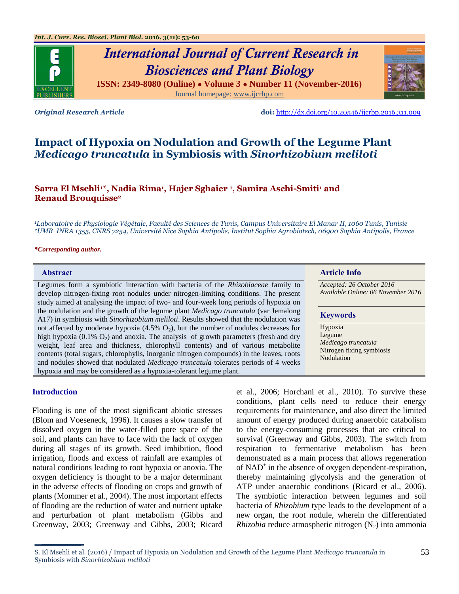

# *International Journal of Current Research in Biosciences and Plant Biology*

**ISSN: 2349-8080 (Online) ● Volume 3 ● Number 11 (November-2016)** Journal homepage: [www.ijcrbp.com](http://www.ijcrbp.com/)



*Original Research Article* **doi:** <http://dx.doi.org/10.20546/ijcrbp.2016.311.009>

## **Impact of Hypoxia on Nodulation and Growth of the Legume Plant**  *Medicago truncatula* **in Symbiosis with** *Sinorhizobium meliloti*

#### **Sarra El Msehli1\*, Nadia Rima<sup>1</sup> , Hajer Sghaier <sup>1</sup> , Samira Aschi-Smiti<sup>1</sup> and Renaud Brouquisse<sup>2</sup>**

*<sup>1</sup>Laboratoire de Physiologie Végétale, Faculté des Sciences de Tunis, Campus Universitaire El Manar II, 1060 Tunis, Tunisie <sup>2</sup>UMR INRA 1355, CNRS 7254, Université Nice Sophia Antipolis, Institut Sophia Agrobiotech, 06900 Sophia Antipolis, France*

#### *\*Corresponding author.*

Legumes form a symbiotic interaction with bacteria of the *Rhizobiaceae* family to develop nitrogen-fixing root nodules under nitrogen-limiting conditions. The present study aimed at analysing the impact of two- and four-week long periods of hypoxia on the nodulation and the growth of the legume plant *Medicago truncatula* (var Jemalong A17) in symbiosis with *Sinorhizobium meliloti*. Results showed that the nodulation was not affected by moderate hypoxia  $(4.5\% \text{ O}_2)$ , but the number of nodules decreases for high hypoxia  $(0.1\% \text{ O}_2)$  and anoxia. The analysis of growth parameters (fresh and dry weight, leaf area and thickness, chlorophyll contents) and of various metabolite contents (total sugars, chlorophylls, inorganic nitrogen compounds) in the leaves, roots and nodules showed that nodulated *Medicago truncatula* tolerates periods of 4 weeks hypoxia and may be considered as a hypoxia-tolerant legume plant.

#### **Introduction**

Flooding is one of the most significant abiotic stresses (Blom and Voeseneck, 1996). It causes a slow transfer of dissolved oxygen in the water-filled pore space of the soil, and plants can have to face with the lack of oxygen during all stages of its growth. Seed imbibition, flood irrigation, floods and excess of rainfall are examples of natural conditions leading to root hypoxia or anoxia. The oxygen deficiency is thought to be a major determinant in the adverse effects of flooding on crops and growth of plants (Mommer et al., 2004). The most important effects of flooding are the reduction of water and nutrient uptake and perturbation of plant metabolism (Gibbs and Greenway, 2003; Greenway and Gibbs, 2003; Ricard

et al., 2006; Horchani et al., 2010). To survive these conditions, plant cells need to reduce their energy requirements for maintenance, and also direct the limited amount of energy produced during anaerobic catabolism to the energy-consuming processes that are critical to survival (Greenway and Gibbs, 2003). The switch from respiration to fermentative metabolism has been demonstrated as a main process that allows regeneration of NAD<sup>+</sup> in the absence of oxygen dependent-respiration, thereby maintaining glycolysis and the generation of ATP under anaerobic conditions (Ricard et al., 2006). The symbiotic interaction between legumes and soil bacteria of *Rhizobium* type leads to the development of a new organ, the root nodule, wherein the differentiated *Rhizobia* reduce atmospheric nitrogen  $(N_2)$  into ammonia

#### **Abstract Article Info**

*Accepted: 26 October 2016 Available Online: 06 November 2016*

#### **Keywords**

Hypoxia Legume *Medicago truncatula* Nitrogen fixing symbiosis Nodulation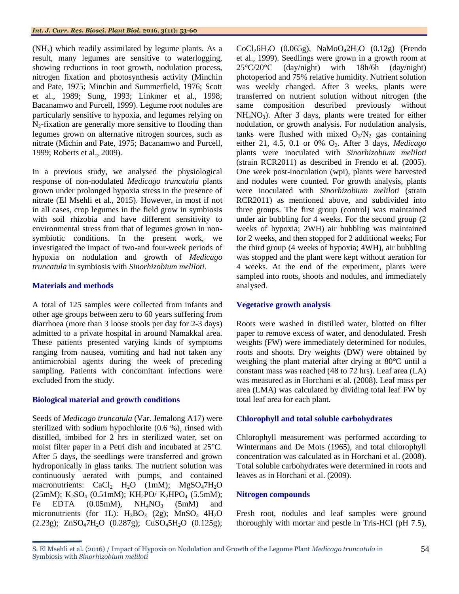(NH3) which readily assimilated by legume plants. As a result, many legumes are sensitive to waterlogging, showing reductions in root growth, nodulation process, nitrogen fixation and photosynthesis activity (Minchin and Pate, 1975; Minchin and Summerfield, 1976; Scott et al., 1989; Sung, 1993; Linkmer et al., 1998; Bacanamwo and Purcell, 1999). Legume root nodules are particularly sensitive to hypoxia, and legumes relying on  $N<sub>2</sub>$ -fixation are generally more sensitive to flooding than legumes grown on alternative nitrogen sources, such as nitrate (Michin and Pate, 1975; Bacanamwo and Purcell, 1999; Roberts et al., 2009).

In a previous study, we analysed the physiological response of non-nodulated *Medicago truncatula* plants grown under prolonged hypoxia stress in the presence of nitrate (El Msehli et al., 2015). However, in most if not in all cases, crop legumes in the field grow in symbiosis with soil rhizobia and have different sensitivity to environmental stress from that of legumes grown in nonsymbiotic conditions. In the present work, we investigated the impact of two-and four-week periods of hypoxia on nodulation and growth of *Medicago truncatula* in symbiosis with *Sinorhizobium meliloti*.

### **Materials and methods**

A total of 125 samples were collected from infants and other age groups between zero to 60 years suffering from diarrhoea (more than 3 loose stools per day for 2-3 days) admitted to a private hospital in around Namakkal area. These patients presented varying kinds of symptoms ranging from nausea, vomiting and had not taken any antimicrobial agents during the week of preceding sampling. Patients with concomitant infections were excluded from the study.

### **Biological material and growth conditions**

Seeds of *Medicago truncatula* (Var. Jemalong A17) were sterilized with sodium hypochlorite (0.6 %), rinsed with distilled, imbibed for 2 hrs in sterilized water, set on moist filter paper in a Petri dish and incubated at 25°C. After 5 days, the seedlings were transferred and grown hydroponically in glass tanks. The nutrient solution was continuously aerated with pumps, and contained macronutrients:  $CaCl<sub>2</sub> H<sub>2</sub>O$  (1mM);  $MgSO<sub>4</sub>7H<sub>2</sub>O$ (25mM);  $K_2SO_4$  (0.51mM);  $KH_2PO/K_2HPO_4$  (5.5mM); Fe EDTA  $(0.05 \text{mM})$ ,  $NH_4NO_3$   $(5 \text{mM})$  and micronutrients (for 1L):  $H_3BO_3$  (2g); MnSO<sub>4</sub> 4H<sub>2</sub>O (2.23g); ZnSO47H2O (0.287g); CuSO45H2O (0.125g);  $CoCl<sub>2</sub>6H<sub>2</sub>O$  (0.065g), NaMo $O<sub>4</sub>2H<sub>2</sub>O$  (0.12g) (Frendo et al., 1999). Seedlings were grown in a growth room at 25°C/20°C (day/night) with 18h/6h (day/night) photoperiod and 75% relative humidity. Nutrient solution was weekly changed. After 3 weeks, plants were transferred on nutrient solution without nitrogen (the same composition described previously without  $NH<sub>4</sub>NO<sub>3</sub>$ ). After 3 days, plants were treated for either nodulation, or growth analysis. For nodulation analysis, tanks were flushed with mixed  $O_2/N_2$  gas containing either 21, 4.5, 0.1 or 0% O2. After 3 days, *Medicago* plants were inoculated with *Sinorhizobium meliloti* (strain RCR2011) as described in Frendo et al. (2005). One week post-inoculation (wpi), plants were harvested and nodules were counted. For growth analysis, plants were inoculated with *Sinorhizobium meliloti* (strain RCR2011) as mentioned above, and subdivided into three groups. The first group (control) was maintained under air bubbling for 4 weeks. For the second group (2 weeks of hypoxia; 2WH) air bubbling was maintained for 2 weeks, and then stopped for 2 additional weeks; For the third group (4 weeks of hypoxia; 4WH), air bubbling was stopped and the plant were kept without aeration for 4 weeks. At the end of the experiment, plants were sampled into roots, shoots and nodules, and immediately analysed.

### **Vegetative growth analysis**

Roots were washed in distilled water, blotted on filter paper to remove excess of water, and denodulated. Fresh weights (FW) were immediately determined for nodules, roots and shoots. Dry weights (DW) were obtained by weighing the plant material after drying at 80°C until a constant mass was reached (48 to 72 hrs). Leaf area (LA) was measured as in Horchani et al. (2008). Leaf mass per area (LMA) was calculated by dividing total leaf FW by total leaf area for each plant.

### **Chlorophyll and total soluble carbohydrates**

Chlorophyll measurement was performed according to Wintermans and De Mots (1965), and total chlorophyll concentration was calculated as in Horchani et al. (2008). Total soluble carbohydrates were determined in roots and leaves as in Horchani et al. (2009).

### **Nitrogen compounds**

Fresh root, nodules and leaf samples were ground thoroughly with mortar and pestle in Tris-HCl (pH 7.5),

S. El Msehli et al. (2016) / Impact of Hypoxia on Nodulation and Growth of the Legume Plant *Medicago truncatula* in Symbiosis with *Sinorhizobium meliloti*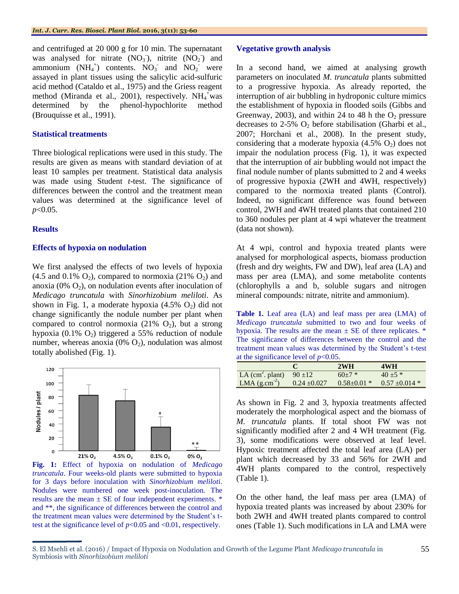and centrifuged at 20 000 g for 10 min. The supernatant was analysed for nitrate  $(NO_3^-)$ , nitrite  $(NO_2^-)$  and ammonium  $(NH_4^+)$  contents.  $NO_3^-$  and  $NO_2^-$  were assayed in plant tissues using the salicylic acid-sulfuric acid method (Cataldo et al., 1975) and the Griess reagent method (Miranda et al., 2001), respectively.  $NH_4^+$  was determined by the phenol-hypochlorite method (Brouquisse et al., 1991).

#### **Statistical treatments**

Three biological replications were used in this study. The results are given as means with standard deviation of at least 10 samples per treatment. Statistical data analysis was made using Student *t*-test. The significance of differences between the control and the treatment mean values was determined at the significance level of *p*<0.05.

#### **Results**

#### **Effects of hypoxia on nodulation**

We first analysed the effects of two levels of hypoxia (4.5 and 0.1%  $O_2$ ), compared to normoxia (21%  $O_2$ ) and anoxia (0%  $O_2$ ), on nodulation events after inoculation of *Medicago truncatula* with *Sinorhizobium meliloti*. As shown in Fig. 1, a moderate hypoxia  $(4.5\% \text{ O}_2)$  did not change significantly the nodule number per plant when compared to control normoxia (21%  $O_2$ ), but a strong hypoxia  $(0.1\% \text{ O}_2)$  triggered a 55% reduction of nodule number, whereas anoxia  $(0\% O_2)$ , nodulation was almost totally abolished (Fig. 1).



**Fig. 1:** Effect of hypoxia on nodulation of *Medicago truncatula*. Four weeks-old plants were submitted to hypoxia for 3 days before inoculation with *Sinorhizobium meliloti*. Nodules were numbered one week post-inoculation. The results are the mean ± SE of four independent experiments. \* and \*\*, the significance of differences between the control and the treatment mean values were determined by the Student's ttest at the significance level of  $p<0.05$  and  $<0.01$ , respectively.

#### **Vegetative growth analysis**

In a second hand, we aimed at analysing growth parameters on inoculated *M. truncatula* plants submitted to a progressive hypoxia. As already reported, the interruption of air bubbling in hydroponic culture mimics the establishment of hypoxia in flooded soils (Gibbs and Greenway, 2003), and within 24 to 48 h the  $O_2$  pressure decreases to  $2-5\%$  O<sub>2</sub> before stabilisation (Gharbi et al., 2007; Horchani et al., 2008). In the present study, considering that a moderate hypoxia  $(4.5\% \text{ O}_2)$  does not impair the nodulation process (Fig. 1), it was expected that the interruption of air bubbling would not impact the final nodule number of plants submitted to 2 and 4 weeks of progressive hypoxia (2WH and 4WH, respectively) compared to the normoxia treated plants (Control). Indeed, no significant difference was found between control, 2WH and 4WH treated plants that contained 210 to 360 nodules per plant at 4 wpi whatever the treatment (data not shown).

At 4 wpi, control and hypoxia treated plants were analysed for morphological aspects, biomass production (fresh and dry weights, FW and DW), leaf area (LA) and mass per area (LMA), and some metabolite contents (chlorophylls a and b, soluble sugars and nitrogen mineral compounds: nitrate, nitrite and ammonium).

**Table 1.** Leaf area (LA) and leaf mass per area (LMA) of *Medicago truncatula* submitted to two and four weeks of hypoxia. The results are the mean  $\pm$  SE of three replicates.  $*$ The significance of differences between the control and the treatment mean values was determined by the Student's t-test at the significance level of  $p<0.05$ .

|                                         |                  | 2WH               | 4WH                |
|-----------------------------------------|------------------|-------------------|--------------------|
| LA $(cm^2. plant)$<br>LMA $(g.cm^{-2})$ | $90 + 12$        | $60+7$ *          | $40 + 5$ *         |
|                                         | $0.24 \pm 0.027$ | $0.58 \pm 0.01$ * | $0.57 \pm 0.014$ * |

As shown in Fig. 2 and 3, hypoxia treatments affected moderately the morphological aspect and the biomass of *M. truncatula* plants. If total shoot FW was not significantly modified after 2 and 4 WH treatment (Fig. 3), some modifications were observed at leaf level. Hypoxic treatment affected the total leaf area (LA) per plant which decreased by 33 and 56% for 2WH and 4WH plants compared to the control, respectively (Table 1).

On the other hand, the leaf mass per area (LMA) of hypoxia treated plants was increased by about 230% for both 2WH and 4WH treated plants compared to control ones (Table 1). Such modifications in LA and LMA were

S. El Msehli et al. (2016) / Impact of Hypoxia on Nodulation and Growth of the Legume Plant *Medicago truncatula* in Symbiosis with *Sinorhizobium meliloti*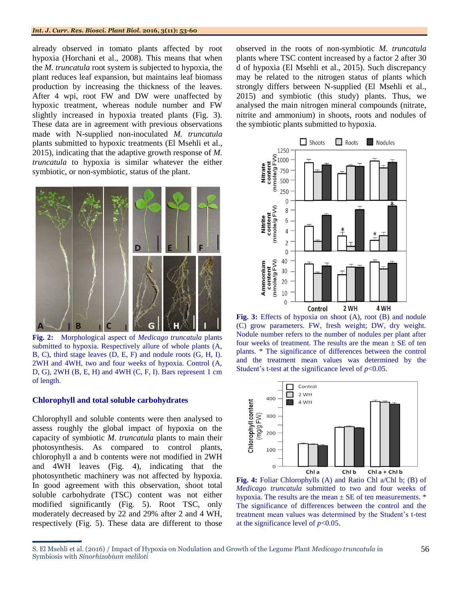#### *Int. J. Curr. Res. Biosci. Plant Biol.* **2016, 3(11): 53-60**

already observed in tomato plants affected by root hypoxia (Horchani et al., 2008). This means that when the *M. truncatula* root system is subjected to hypoxia, the plant reduces leaf expansion, but maintains leaf biomass production by increasing the thickness of the leaves. After 4 wpi, root FW and DW were unaffected by hypoxic treatment, whereas nodule number and FW slightly increased in hypoxia treated plants (Fig. 3). These data are in agreement with previous observations made with N-supplied non-inoculated *M. truncatula* plants submitted to hypoxic treatments (El Msehli et al., 2015), indicating that the adaptive growth response of *M. truncatula* to hypoxia is similar whatever the either symbiotic, or non-symbiotic, status of the plant.



**Fig. 2:** Morphological aspect of *Medicago truncatula* plants submitted to hypoxia. Respectively allure of whole plants (A, B, C), third stage leaves (D, E, F) and nodule roots (G, H, I). 2WH and 4WH, two and four weeks of hypoxia. Control (A, D, G), 2WH (B, E, H) and 4WH (C, F, I). Bars represent 1 cm of length.

#### **Chlorophyll and total soluble carbohydrates**

Chlorophyll and soluble contents were then analysed to assess roughly the global impact of hypoxia on the capacity of symbiotic *M. truncatula* plants to main their photosynthesis. As compared to control plants, chlorophyll a and b contents were not modified in 2WH and 4WH leaves (Fig. 4), indicating that the photosynthetic machinery was not affected by hypoxia. In good agreement with this observation, shoot total soluble carbohydrate (TSC) content was not either modified significantly (Fig. 5). Root TSC, only moderately decreased by 22 and 29% after 2 and 4 WH, respectively (Fig. 5). These data are different to those

observed in the roots of non-symbiotic *M. truncatula* plants where TSC content increased by a factor 2 after 30 d of hypoxia (El Msehli et al., 2015). Such discrepancy may be related to the nitrogen status of plants which strongly differs between N-supplied (El Msehli et al., 2015) and symbiotic (this study) plants. Thus, we analysed the main nitrogen mineral compounds (nitrate, nitrite and ammonium) in shoots, roots and nodules of the symbiotic plants submitted to hypoxia.



**Fig. 3:** Effects of hypoxia on shoot (A), root (B) and nodule (C) grow parameters. FW, fresh weight; DW, dry weight. Nodule number refers to the number of nodules per plant after four weeks of treatment. The results are the mean  $\pm$  SE of ten plants. \* The significance of differences between the control and the treatment mean values was determined by the Student's t-test at the significance level of  $p<0.05$ .



**Fig. 4:** Foliar Chlorophylls (A) and Ratio Chl a/Chl b; (B) of *Medicago truncatula* submitted to two and four weeks of hypoxia. The results are the mean  $\pm$  SE of ten measurements.  $*$ The significance of differences between the control and the treatment mean values was determined by the Student's t-test at the significance level of  $p<0.05$ .

S. El Msehli et al. (2016) / Impact of Hypoxia on Nodulation and Growth of the Legume Plant *Medicago truncatula* in Symbiosis with *Sinorhizobium meliloti*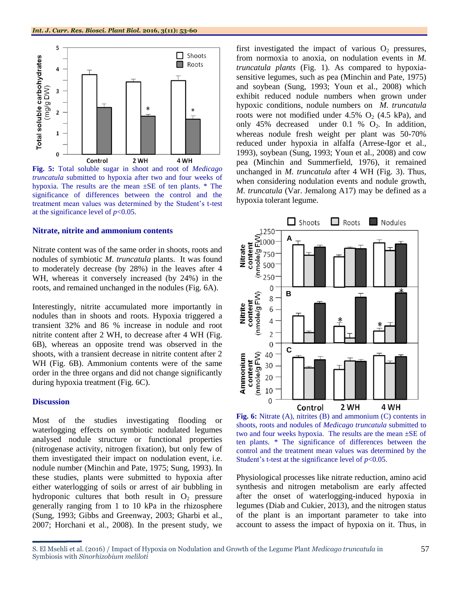

**Fig. 5:** Total soluble sugar in shoot and root of *Medicago truncatula* submitted to hypoxia after two and four weeks of hypoxia. The results are the mean ±SE of ten plants. \* The significance of differences between the control and the treatment mean values was determined by the Student's t-test at the significance level of  $p < 0.05$ .

#### **Nitrate, nitrite and ammonium contents**

Nitrate content was of the same order in shoots, roots and nodules of symbiotic *M. truncatula* plants. It was found to moderately decrease (by 28%) in the leaves after 4 WH, whereas it conversely increased (by 24%) in the roots, and remained unchanged in the nodules (Fig. 6A).

Interestingly, nitrite accumulated more importantly in nodules than in shoots and roots. Hypoxia triggered a transient 32% and 86 % increase in nodule and root nitrite content after 2 WH, to decrease after 4 WH (Fig. 6B), whereas an opposite trend was observed in the shoots, with a transient decrease in nitrite content after 2 WH (Fig. 6B). Ammonium contents were of the same order in the three organs and did not change significantly during hypoxia treatment (Fig. 6C).

#### **Discussion**

Most of the studies investigating flooding or waterlogging effects on symbiotic nodulated legumes analysed nodule structure or functional properties (nitrogenase activity, nitrogen fixation), but only few of them investigated their impact on nodulation event, i.e. nodule number (Minchin and Pate, 1975; Sung, 1993). In these studies, plants were submitted to hypoxia after either waterlogging of soils or arrest of air bubbling in hydroponic cultures that both result in  $O<sub>2</sub>$  pressure generally ranging from 1 to 10 kPa in the rhizosphere (Sung, 1993; Gibbs and Greenway, 2003; Gharbi et al., 2007; Horchani et al., 2008). In the present study, we first investigated the impact of various  $O_2$  pressures, from normoxia to anoxia, on nodulation events in *M. truncatula plants* (Fig. 1). As compared to hypoxiasensitive legumes, such as pea (Minchin and Pate, 1975) and soybean (Sung, 1993; Youn et al., 2008) which exhibit reduced nodule numbers when grown under hypoxic conditions, nodule numbers on *M. truncatula* roots were not modified under 4.5%  $O_2$  (4.5 kPa), and only 45% decreased under  $0.1 \%$  O<sub>2</sub>. In addition, whereas nodule fresh weight per plant was 50-70% reduced under hypoxia in alfalfa (Arrese-Igor et al., 1993), soybean (Sung, 1993; Youn et al., 2008) and cow pea (Minchin and Summerfield, 1976), it remained unchanged in *M. truncatula* after 4 WH (Fig. 3). Thus, when considering nodulation events and nodule growth, *M. truncatula* (Var. Jemalong A17) may be defined as a hypoxia tolerant legume.



**Fig. 6:** Nitrate (A), nitrites (B) and ammonium (C) contents in shoots, roots and nodules of *Medicago truncatula* submitted to two and four weeks hypoxia. The results are the mean ±SE of ten plants. \* The significance of differences between the control and the treatment mean values was determined by the Student's t-test at the significance level of *p*<0.05.

Physiological processes like nitrate reduction, amino acid synthesis and nitrogen metabolism are early affected after the onset of waterlogging-induced hypoxia in legumes (Diab and Cukier, 2013), and the nitrogen status of the plant is an important parameter to take into account to assess the impact of hypoxia on it. Thus, in

S. El Msehli et al. (2016) / Impact of Hypoxia on Nodulation and Growth of the Legume Plant *Medicago truncatula* in Symbiosis with *Sinorhizobium meliloti*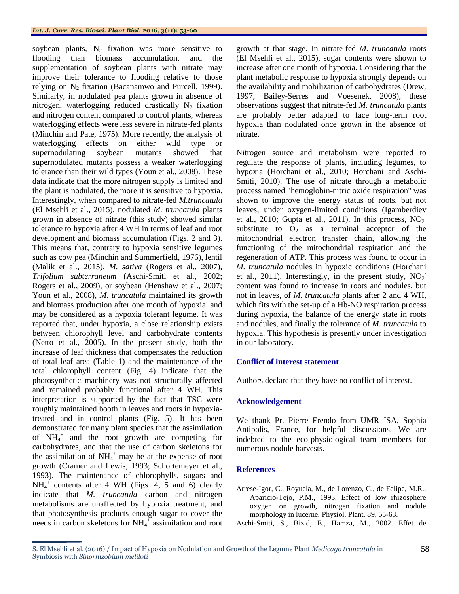soybean plants,  $N_2$  fixation was more sensitive to flooding than biomass accumulation, and the supplementation of soybean plants with nitrate may improve their tolerance to flooding relative to those relying on  $N_2$  fixation (Bacanamwo and Purcell, 1999). Similarly, in nodulated pea plants grown in absence of nitrogen, waterlogging reduced drastically  $N_2$  fixation and nitrogen content compared to control plants, whereas waterlogging effects were less severe in nitrate-fed plants (Minchin and Pate, 1975). More recently, the analysis of waterlogging effects on either wild type or supernodulating soybean mutants showed that supernodulated mutants possess a weaker waterlogging tolerance than their wild types (Youn et al., 2008). These data indicate that the more nitrogen supply is limited and the plant is nodulated, the more it is sensitive to hypoxia. Interestingly, when compared to nitrate-fed *M.truncatula* (El Msehli et al., 2015), nodulated *M. truncatula* plants grown in absence of nitrate (this study) showed similar tolerance to hypoxia after 4 WH in terms of leaf and root development and biomass accumulation (Figs. 2 and 3). This means that, contrary to hypoxia sensitive legumes such as cow pea (Minchin and Summerfield, 1976), lentil (Malik et al., 2015), *M. sativa* (Rogers et al., 2007), *Trifolium subterraneum* (Aschi-Smiti et al., 2002; Rogers et al., 2009), or soybean (Henshaw et al., 2007; Youn et al., 2008), *M. truncatula* maintained its growth and biomass production after one month of hypoxia, and may be considered as a hypoxia tolerant legume. It was reported that, under hypoxia, a close relationship exists between chlorophyll level and carbohydrate contents (Netto et al., 2005). In the present study, both the increase of leaf thickness that compensates the reduction of total leaf area (Table 1) and the maintenance of the total chlorophyll content (Fig. 4) indicate that the photosynthetic machinery was not structurally affected and remained probably functional after 4 WH. This interpretation is supported by the fact that TSC were roughly maintained booth in leaves and roots in hypoxiatreated and in control plants (Fig. 5). It has been demonstrated for many plant species that the assimilation of NH<sup>4</sup> + and the root growth are competing for carbohydrates, and that the use of carbon skeletons for the assimilation of  $NH_4^+$  may be at the expense of root growth (Cramer and Lewis, 1993; Schortemeyer et al., 1993). The maintenance of chlorophylls, sugars and NH<sup>4</sup> + contents after 4 WH (Figs. 4, 5 and 6) clearly indicate that *M. truncatula* carbon and nitrogen metabolisms are unaffected by hypoxia treatment, and that photosynthesis products enough sugar to cover the needs in carbon skeletons for  $NH_4^+$  assimilation and root

growth at that stage. In nitrate-fed *M. truncatula* roots (El Msehli et al., 2015), sugar contents were shown to increase after one month of hypoxia. Considering that the plant metabolic response to hypoxia strongly depends on the availability and mobilization of carbohydrates (Drew, 1997; Bailey-Serres and Voesenek, 2008), these observations suggest that nitrate-fed *M. truncatula* plants are probably better adapted to face long-term root hypoxia than nodulated once grown in the absence of nitrate.

Nitrogen source and metabolism were reported to regulate the response of plants, including legumes, to hypoxia (Horchani et al., 2010; Horchani and Aschi-Smiti, 2010). The use of nitrate through a metabolic process named "hemoglobin-nitric oxide respiration" was shown to improve the energy status of roots, but not leaves, under oxygen-limited conditions (Igamberdiev et al., 2010; Gupta et al., 2011). In this process,  $NO<sub>2</sub>$ substitute to  $O_2$  as a terminal acceptor of the mitochondrial electron transfer chain, allowing the functioning of the mitochondrial respiration and the regeneration of ATP. This process was found to occur in *M. truncatula* nodules in hypoxic conditions (Horchani et al., 2011). Interestingly, in the present study,  $NO<sub>2</sub>$ content was found to increase in roots and nodules, but not in leaves, of *M. truncatula* plants after 2 and 4 WH, which fits with the set-up of a Hb-NO respiration process during hypoxia, the balance of the energy state in roots and nodules, and finally the tolerance of *M. truncatula* to hypoxia. This hypothesis is presently under investigation in our laboratory.

#### **Conflict of interest statement**

Authors declare that they have no conflict of interest.

#### **Acknowledgement**

We thank Pr. Pierre Frendo from UMR ISA, Sophia Antipolis, France, for helpful discussions. We are indebted to the eco-physiological team members for numerous nodule harvests.

#### **References**

- Arrese-Igor, C., Royuela, M., de Lorenzo, C., de Felipe, M.R., Aparicio-Tejo, P.M., 1993. Effect of low rhizosphere oxygen on growth, nitrogen fixation and nodule morphology in lucerne. Physiol. Plant. 89, 55-63.
- Aschi-Smiti, S., Bizid, E., Hamza, M., 2002. Effet de

S. El Msehli et al. (2016) / Impact of Hypoxia on Nodulation and Growth of the Legume Plant *Medicago truncatula* in Symbiosis with *Sinorhizobium meliloti*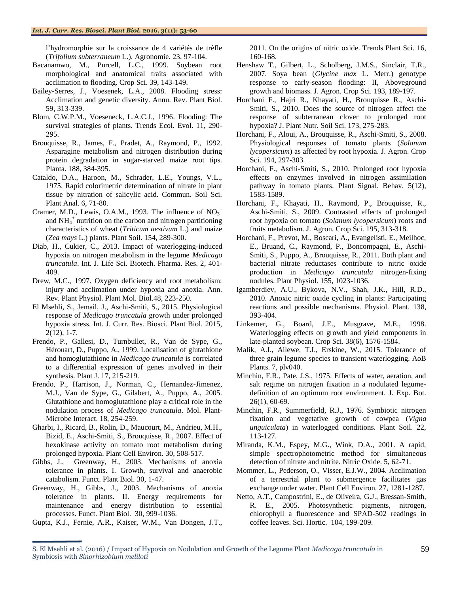#### *Int. J. Curr. Res. Biosci. Plant Biol.* **2016, 3(11): 53-60**

l'hydromorphie sur la croissance de 4 variétés de trèfle (*Trifolium subterraneum* L.). Agronomie. 23, 97-104.

- Bacanamwo, M., Purcell, L.C., 1999. Soybean root morphological and anatomical traits associated with acclimation to flooding. Crop Sci. 39, 143-149.
- Bailey-Serres, J., Voesenek, L.A., 2008. Flooding stress: Acclimation and genetic diversity. Annu. Rev. Plant Biol. 59, 313-339.
- Blom, C.W.P.M., Voeseneck, L.A.C.J., 1996. Flooding: The survival strategies of plants. Trends Ecol. Evol. 11, 290- 295.
- Brouquisse, R., James, F., Pradet, A., Raymond, P., 1992. Asparagine metabolism and nitrogen distribution during protein degradation in sugar-starved maize root tips. Planta. 188, 384-395.
- Cataldo, D.A., Haroon, M., Schrader, L.E., Youngs, V.L., 1975. Rapid colorimetric determination of nitrate in plant tissue by nitration of salicylic acid. Commun. Soil Sci. Plant Anal. 6, 71-80.
- Cramer, M.D., Lewis, O.A.M., 1993. The influence of  $NO_3$ <sup>-</sup> and NH<sup>4</sup> + nutrition on the carbon and nitrogen partitioning characteristics of wheat (*Triticum aestivum* L.) and maize (*Zea mays* L.) plants. Plant Soil. 154, 289-300.
- Diab, H., Cukier, C., 2013. Impact of waterlogging-induced hypoxia on nitrogen metabolism in the legume *Medicago truncatula*. Int. J. Life Sci. Biotech. Pharma. Res. 2, 401- 409.
- Drew, M.C., 1997. Oxygen deficiency and root metabolism: injury and acclimation under hypoxia and anoxia. Ann. Rev. Plant Physiol. Plant Mol. Biol.48, 223-250.
- El Msehli, S., Jemail, J., Aschi-Smiti, S., 2015. Physiological response of *Medicago truncatula* growth under prolonged hypoxia stress. Int. J. Curr. Res. Biosci. Plant Biol. 2015, 2(12), 1-7.
- Frendo, P., Gallesi, D., Turnbullet, R., Van de Sype, G., Hérouart, D., Puppo, A., 1999. Localisation of glutathione and homoglutathione in *Medicago truncatula* is correlated to a differential expression of genes involved in their synthesis. Plant J. 17, 215-219.
- Frendo, P., Harrison, J., Norman, C., Hernandez-Jimenez, M.J., Van de Sype, G., Gilabert, A., Puppo, A., 2005. Glutathione and homoglutathione play a critical role in the nodulation process of *Medicago truncatula*. Mol. Plant-Microbe Interact. 18, 254-259.
- Gharbi, I., Ricard, B., Rolin, D., Maucourt, M., Andrieu, M.H., Bizid, E., Aschi-Smiti, S., Brouquisse, R., 2007. Effect of hexokinase activity on tomato root metabolism during prolonged hypoxia. Plant Cell Environ. 30, 508-517.
- Gibbs, J., Greenway, H., 2003. Mechanisms of anoxia tolerance in plants. I. Growth, survival and anaerobic catabolism. Funct. Plant Biol. 30, 1-47.
- Greenway, H., Gibbs, J., 2003. Mechanisms of anoxia tolerance in plants. II. Energy requirements for maintenance and energy distribution to essential processes. Funct. Plant Biol. 30, 999-1036.
- Gupta, K.J., Fernie, A.R., Kaiser, W.M., Van Dongen, J.T.,

2011. On the origins of nitric oxide. Trends Plant Sci. 16, 160-168.

- Henshaw T., Gilbert, L., Scholberg, J.M.S., Sinclair, T.R., 2007. Soya bean (*Glycine max* L. Merr.) genotype response to early-season flooding: II, Aboveground growth and biomass. J. Agron. Crop Sci. 193, 189-197.
- Horchani F., Hajri R., Khayati, H., Brouquisse R., Aschi-Smiti, S., 2010. Does the source of nitrogen affect the response of subterranean clover to prolonged root hypoxia? J. Plant Nutr. Soil Sci. 173, 275-283.
- Horchani, F., Aloui, A., Brouquisse, R., Aschi-Smiti, S., 2008. Physiological responses of tomato plants (*Solanum lycopersicum*) as affected by root hypoxia. J. Agron. Crop Sci. 194, 297-303.
- Horchani, F., Aschi-Smiti, S., 2010. Prolonged root hypoxia effects on enzymes involved in nitrogen assimilation pathway in tomato plants. Plant Signal. Behav. 5(12), 1583-1589.
- Horchani, F., Khayati, H., Raymond, P., Brouquisse, R., Aschi-Smiti, S., 2009. Contrasted effects of prolonged root hypoxia on tomato (*Solanum lycopersicum*) roots and fruits metabolism. J. Agron. Crop Sci. 195, 313-318.
- Horchani, F., Prevot, M., Boscari, A., Evangelisti, E., Meilhoc, E., Bruand, C., Raymond, P., Boncompagni, E., Aschi-Smiti, S., Puppo, A., Brouquisse, R., 2011. Both plant and bacterial nitrate reductases contribute to nitric oxide production in *Medicago truncatula* nitrogen-fixing nodules. Plant Physiol. 155, 1023-1036.
- Igamberdiev, A.U., Bykova, N.V., Shah, J.K., Hill, R.D., 2010. Anoxic nitric oxide cycling in plants: Participating reactions and possible mechanisms. Physiol. Plant. 138, 393-404.
- Linkemer, G., Board, J.E., Musgrave, M.E., 1998. Waterlogging effects on growth and yield components in late-planted soybean. Crop Sci. 38(6), 1576-1584.
- Malik, A.I., Ailewe, T.I., Erskine, W., 2015. Tolerance of three grain legume species to transient waterlogging. AoB Plants. 7, plv040.
- Minchin, F.R., Pate, J.S., 1975. Effects of water, aeration, and salt regime on nitrogen fixation in a nodulated legumedefinition of an optimum root environment. J. Exp. Bot. 26(1), 60-69.
- Minchin, F.R., Summerfield, R.J., 1976. Symbiotic nitrogen fixation and vegetative growth of cowpea (*Vigna unguiculata*) in waterlogged conditions. Plant Soil. 22, 113-127.
- Miranda, K.M., Espey, M.G., Wink, D.A., 2001. A rapid, simple spectrophotometric method for simultaneous detection of nitrate and nitrite. Nitric Oxide. 5, 62-71.
- Mommer, L., Pederson, O., Visser, E.J.W., 2004. Acclimation of a terrestrial plant to submergence facilitates gas exchange under water. Plant Cell Environ. 27, 1281-1287.
- Netto, A.T., Campostrini, E., de Oliveira, G.J., Bressan-Smith, R. E., 2005. Photosynthetic pigments, nitrogen, chlorophyll a fluorescence and SPAD-502 readings in coffee leaves. Sci. Hortic. 104, 199-209.

S. El Msehli et al. (2016) / Impact of Hypoxia on Nodulation and Growth of the Legume Plant *Medicago truncatula* in Symbiosis with *Sinorhizobium meliloti*